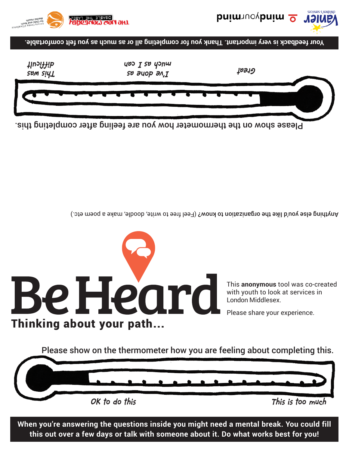**When you're answering the questions inside you might need a mental break. You could fill this out over a few days or talk with someone about it. Do what works best for you!**



Be Heard

This **anonymous** tool was co-created

Please share your experience.

with youth to look at services in London Middlesex.

Anything else you'd like the organization to know? (Feel free to write, doodle, make a poem etc.)



**Your feedback is very important. Thank you for completing all or as much as you felt comfortable.**